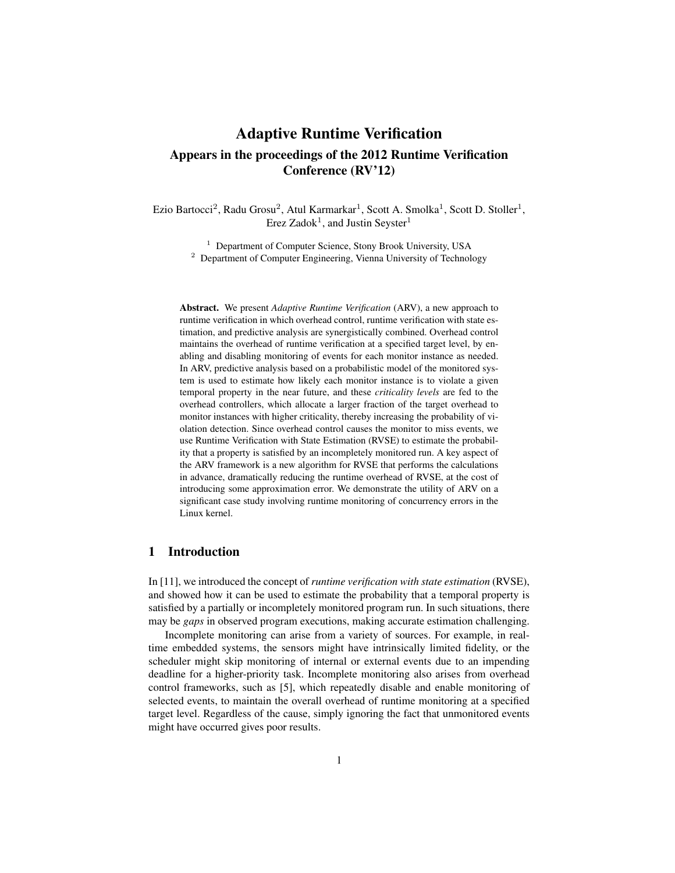# Adaptive Runtime Verification Appears in the proceedings of the 2012 Runtime Verification Conference (RV'12)

Ezio Bartocci<sup>2</sup>, Radu Grosu<sup>2</sup>, Atul Karmarkar<sup>1</sup>, Scott A. Smolka<sup>1</sup>, Scott D. Stoller<sup>1</sup>, Erez Zadok<sup>1</sup>, and Justin Seyster<sup>1</sup>

<sup>1</sup> Department of Computer Science, Stony Brook University, USA <sup>2</sup> Department of Computer Engineering, Vienna University of Technology

Abstract. We present *Adaptive Runtime Verification* (ARV), a new approach to runtime verification in which overhead control, runtime verification with state estimation, and predictive analysis are synergistically combined. Overhead control maintains the overhead of runtime verification at a specified target level, by enabling and disabling monitoring of events for each monitor instance as needed. In ARV, predictive analysis based on a probabilistic model of the monitored system is used to estimate how likely each monitor instance is to violate a given temporal property in the near future, and these *criticality levels* are fed to the overhead controllers, which allocate a larger fraction of the target overhead to monitor instances with higher criticality, thereby increasing the probability of violation detection. Since overhead control causes the monitor to miss events, we use Runtime Verification with State Estimation (RVSE) to estimate the probability that a property is satisfied by an incompletely monitored run. A key aspect of the ARV framework is a new algorithm for RVSE that performs the calculations in advance, dramatically reducing the runtime overhead of RVSE, at the cost of introducing some approximation error. We demonstrate the utility of ARV on a significant case study involving runtime monitoring of concurrency errors in the Linux kernel.

### 1 Introduction

In [11], we introduced the concept of *runtime verification with state estimation* (RVSE), and showed how it can be used to estimate the probability that a temporal property is satisfied by a partially or incompletely monitored program run. In such situations, there may be *gaps* in observed program executions, making accurate estimation challenging.

Incomplete monitoring can arise from a variety of sources. For example, in realtime embedded systems, the sensors might have intrinsically limited fidelity, or the scheduler might skip monitoring of internal or external events due to an impending deadline for a higher-priority task. Incomplete monitoring also arises from overhead control frameworks, such as [5], which repeatedly disable and enable monitoring of selected events, to maintain the overall overhead of runtime monitoring at a specified target level. Regardless of the cause, simply ignoring the fact that unmonitored events might have occurred gives poor results.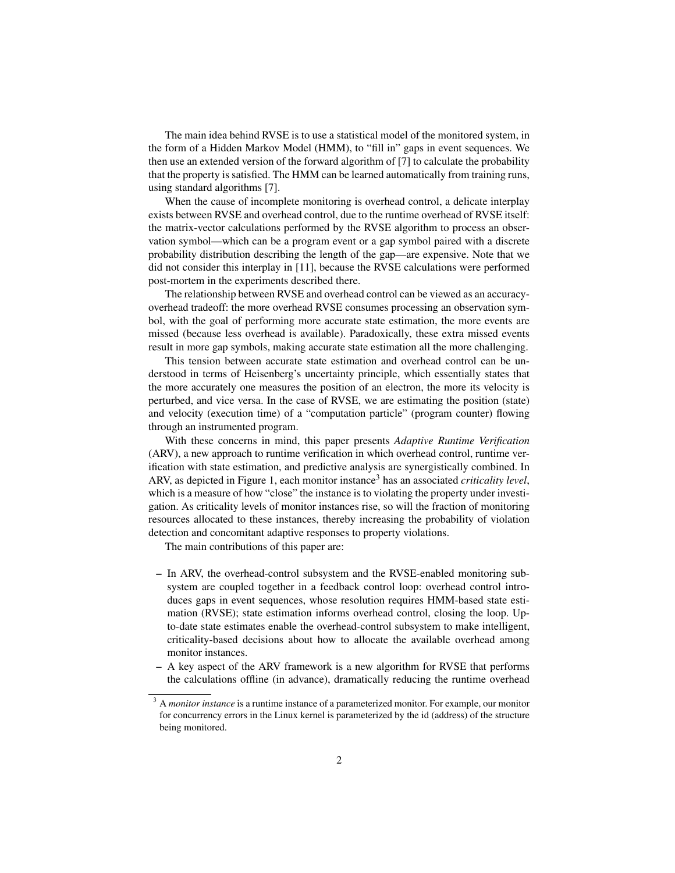The main idea behind RVSE is to use a statistical model of the monitored system, in the form of a Hidden Markov Model (HMM), to "fill in" gaps in event sequences. We then use an extended version of the forward algorithm of [7] to calculate the probability that the property is satisfied. The HMM can be learned automatically from training runs, using standard algorithms [7].

When the cause of incomplete monitoring is overhead control, a delicate interplay exists between RVSE and overhead control, due to the runtime overhead of RVSE itself: the matrix-vector calculations performed by the RVSE algorithm to process an observation symbol—which can be a program event or a gap symbol paired with a discrete probability distribution describing the length of the gap—are expensive. Note that we did not consider this interplay in [11], because the RVSE calculations were performed post-mortem in the experiments described there.

The relationship between RVSE and overhead control can be viewed as an accuracyoverhead tradeoff: the more overhead RVSE consumes processing an observation symbol, with the goal of performing more accurate state estimation, the more events are missed (because less overhead is available). Paradoxically, these extra missed events result in more gap symbols, making accurate state estimation all the more challenging.

This tension between accurate state estimation and overhead control can be understood in terms of Heisenberg's uncertainty principle, which essentially states that the more accurately one measures the position of an electron, the more its velocity is perturbed, and vice versa. In the case of RVSE, we are estimating the position (state) and velocity (execution time) of a "computation particle" (program counter) flowing through an instrumented program.

With these concerns in mind, this paper presents *Adaptive Runtime Verification* (ARV), a new approach to runtime verification in which overhead control, runtime verification with state estimation, and predictive analysis are synergistically combined. In ARV, as depicted in Figure 1, each monitor instance<sup>3</sup> has an associated *criticality level*, which is a measure of how "close" the instance is to violating the property under investigation. As criticality levels of monitor instances rise, so will the fraction of monitoring resources allocated to these instances, thereby increasing the probability of violation detection and concomitant adaptive responses to property violations.

The main contributions of this paper are:

- In ARV, the overhead-control subsystem and the RVSE-enabled monitoring subsystem are coupled together in a feedback control loop: overhead control introduces gaps in event sequences, whose resolution requires HMM-based state estimation (RVSE); state estimation informs overhead control, closing the loop. Upto-date state estimates enable the overhead-control subsystem to make intelligent, criticality-based decisions about how to allocate the available overhead among monitor instances.
- A key aspect of the ARV framework is a new algorithm for RVSE that performs the calculations offline (in advance), dramatically reducing the runtime overhead

<sup>&</sup>lt;sup>3</sup> A *monitor instance* is a runtime instance of a parameterized monitor. For example, our monitor for concurrency errors in the Linux kernel is parameterized by the id (address) of the structure being monitored.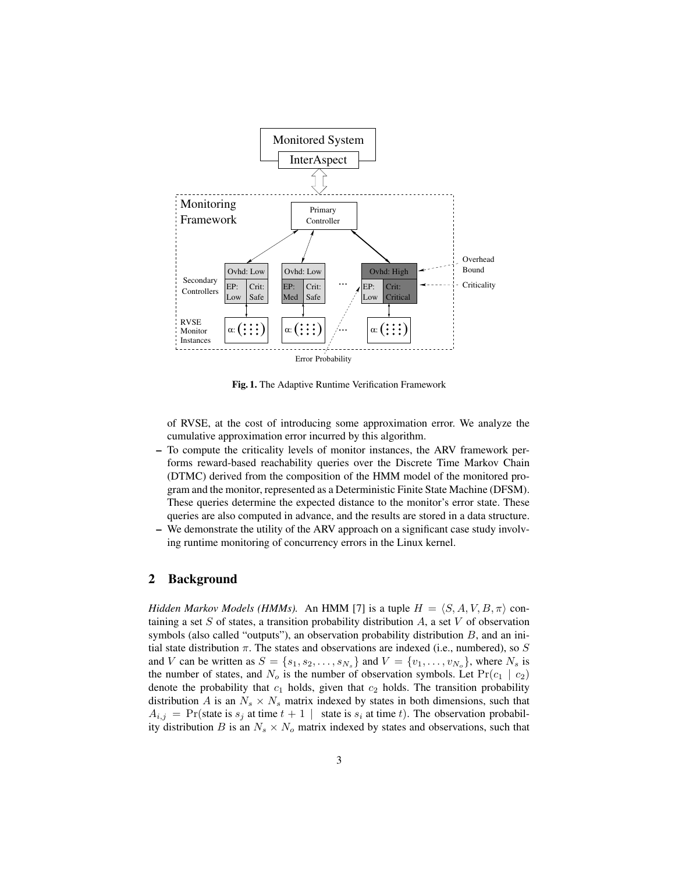

Fig. 1. The Adaptive Runtime Verification Framework

of RVSE, at the cost of introducing some approximation error. We analyze the cumulative approximation error incurred by this algorithm.

- To compute the criticality levels of monitor instances, the ARV framework performs reward-based reachability queries over the Discrete Time Markov Chain (DTMC) derived from the composition of the HMM model of the monitored program and the monitor, represented as a Deterministic Finite State Machine (DFSM). These queries determine the expected distance to the monitor's error state. These queries are also computed in advance, and the results are stored in a data structure.
- We demonstrate the utility of the ARV approach on a significant case study involving runtime monitoring of concurrency errors in the Linux kernel.

# 2 Background

*Hidden Markov Models (HMMs).* An HMM [7] is a tuple  $H = \langle S, A, V, B, \pi \rangle$  containing a set S of states, a transition probability distribution A, a set V of observation symbols (also called "outputs"), an observation probability distribution  $B$ , and an initial state distribution  $\pi$ . The states and observations are indexed (i.e., numbered), so S and V can be written as  $S = \{s_1, s_2, \ldots, s_{N_s}\}\$ and  $V = \{v_1, \ldots, v_{N_o}\}\$ , where  $N_s$  is the number of states, and  $N_o$  is the number of observation symbols. Let  $Pr(c_1 | c_2)$ denote the probability that  $c_1$  holds, given that  $c_2$  holds. The transition probability distribution A is an  $N_s \times N_s$  matrix indexed by states in both dimensions, such that  $A_{i,j}$  = Pr(state is  $s_j$  at time  $t + 1$  | state is  $s_i$  at time t). The observation probability distribution B is an  $N_s \times N_o$  matrix indexed by states and observations, such that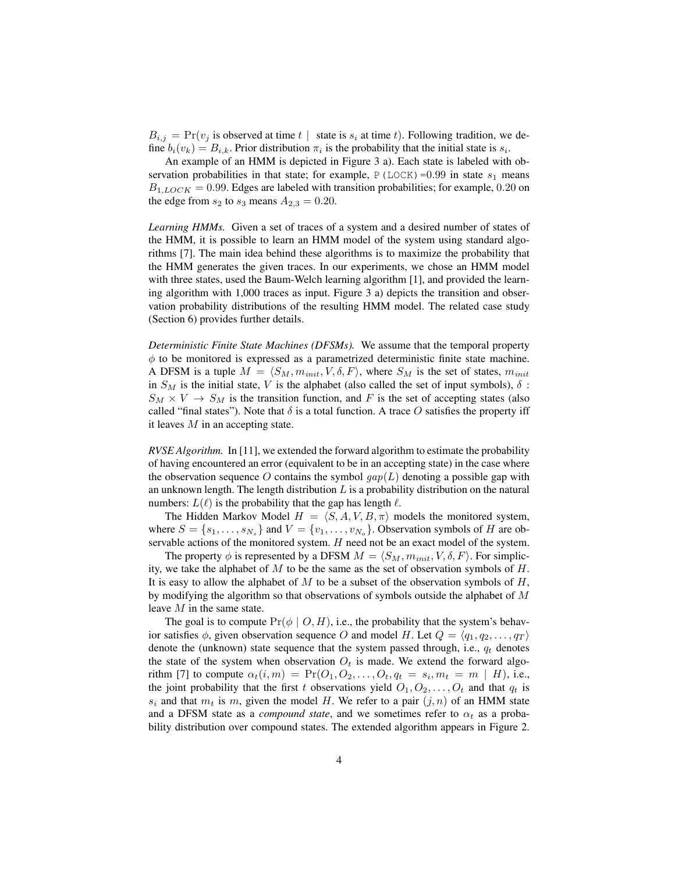$B_{i,j} = \Pr(v_i)$  is observed at time  $t \mid$  state is  $s_i$  at time t). Following tradition, we define  $b_i(v_k) = B_{i,k}$ . Prior distribution  $\pi_i$  is the probability that the initial state is  $s_i$ .

An example of an HMM is depicted in Figure 3 a). Each state is labeled with observation probabilities in that state; for example, P(LOCK)=0.99 in state  $s_1$  means  $B_{1,LOCK} = 0.99$ . Edges are labeled with transition probabilities; for example, 0.20 on the edge from  $s_2$  to  $s_3$  means  $A_{2,3} = 0.20$ .

*Learning HMMs.* Given a set of traces of a system and a desired number of states of the HMM, it is possible to learn an HMM model of the system using standard algorithms [7]. The main idea behind these algorithms is to maximize the probability that the HMM generates the given traces. In our experiments, we chose an HMM model with three states, used the Baum-Welch learning algorithm [1], and provided the learning algorithm with 1,000 traces as input. Figure 3 a) depicts the transition and observation probability distributions of the resulting HMM model. The related case study (Section 6) provides further details.

*Deterministic Finite State Machines (DFSMs).* We assume that the temporal property  $\phi$  to be monitored is expressed as a parametrized deterministic finite state machine. A DFSM is a tuple  $M = \langle S_M, m_{init}, V, \delta, F \rangle$ , where  $S_M$  is the set of states,  $m_{init}$ in  $S_M$  is the initial state, V is the alphabet (also called the set of input symbols),  $\delta$  :  $S_M \times V \to S_M$  is the transition function, and F is the set of accepting states (also called "final states"). Note that  $\delta$  is a total function. A trace O satisfies the property iff it leaves  $M$  in an accepting state.

*RVSE Algorithm.* In [11], we extended the forward algorithm to estimate the probability of having encountered an error (equivalent to be in an accepting state) in the case where the observation sequence O contains the symbol  $qap(L)$  denoting a possible gap with an unknown length. The length distribution  $L$  is a probability distribution on the natural numbers:  $L(\ell)$  is the probability that the gap has length  $\ell$ .

The Hidden Markov Model  $H = \langle S, A, V, B, \pi \rangle$  models the monitored system, where  $S = \{s_1, \ldots, s_{N_s}\}\$  and  $V = \{v_1, \ldots, v_{N_o}\}\$ . Observation symbols of H are observable actions of the monitored system. H need not be an exact model of the system.

The property  $\phi$  is represented by a DFSM  $M = \langle S_M, m_{init}, V, \delta, F \rangle$ . For simplicity, we take the alphabet of  $M$  to be the same as the set of observation symbols of  $H$ . It is easy to allow the alphabet of  $M$  to be a subset of the observation symbols of  $H$ , by modifying the algorithm so that observations of symbols outside the alphabet of M leave M in the same state.

The goal is to compute  $Pr(\phi \mid O, H)$ , i.e., the probability that the system's behavior satisfies  $\phi$ , given observation sequence O and model H. Let  $Q = \langle q_1, q_2, \ldots, q_T \rangle$ denote the (unknown) state sequence that the system passed through, i.e.,  $q_t$  denotes the state of the system when observation  $O_t$  is made. We extend the forward algorithm [7] to compute  $\alpha_t(i,m) = \Pr(O_1, O_2, \ldots, O_t, q_t = s_i, m_t = m \mid H)$ , i.e., the joint probability that the first t observations yield  $O_1, O_2, \ldots, O_t$  and that  $q_t$  is  $s_i$  and that  $m_t$  is m, given the model H. We refer to a pair  $(j, n)$  of an HMM state and a DFSM state as a *compound state*, and we sometimes refer to  $\alpha_t$  as a probability distribution over compound states. The extended algorithm appears in Figure 2.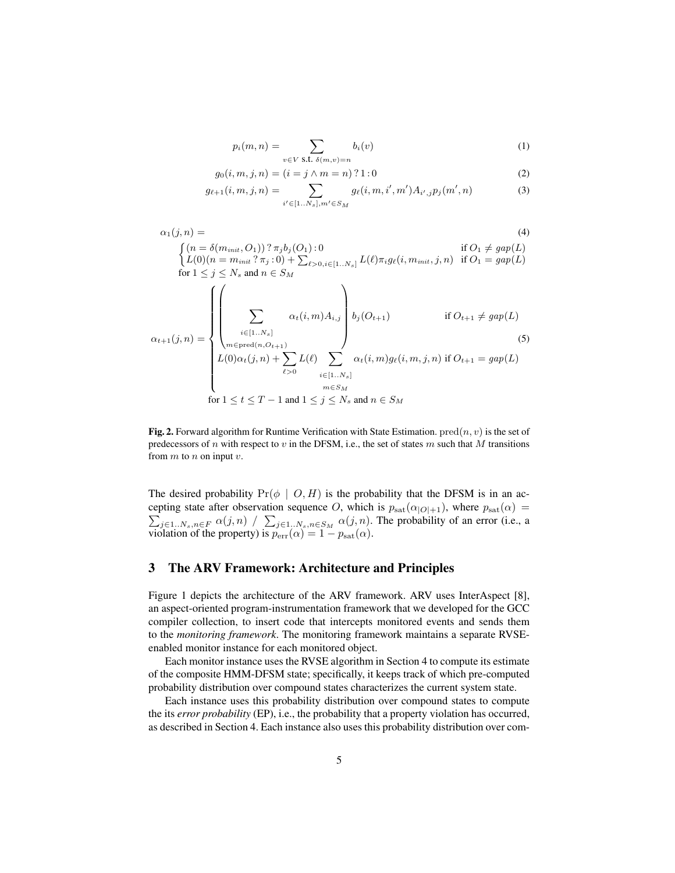$$
p_i(m,n) = \sum_{v \in V \text{ S.t. } \delta(m,v) = n} b_i(v)
$$
 (1)

$$
g_0(i, m, j, n) = (i = j \land m = n)? 1:0
$$
\n(2)

$$
g_{\ell+1}(i,m,j,n) = \sum_{i' \in [1..N_s], m' \in S_M} g_{\ell}(i,m,i',m') A_{i',j} p_j(m',n)
$$
(3)

$$
\alpha_{1}(j,n) = (4)
$$
\n
$$
\begin{cases}\n(n = \delta(m_{init}, O_{1})) ? \pi_{j} b_{j}(O_{1}) : 0 & \text{if } O_{1} \neq gap(L) \\
L(0)(n = m_{init} ? \pi_{j} : 0) + \sum_{\ell > 0, i \in [1..N_{s}]} L(\ell) \pi_{i} g_{\ell}(i, m_{init}, j, n) & \text{if } O_{1} = gap(L) \\
\text{for } 1 \leq j \leq N_{s} \text{ and } n \in S_{M} \\
\sum_{i \in [1..N_{s}]} \alpha_{t}(i, m) A_{i,j} & b_{j}(O_{t+1}) & \text{if } O_{t+1} \neq gap(L) \\
\sum_{i \in [1..N_{s}]} \alpha_{t}(i, m) + \sum_{\ell > 0} L(\ell) \sum_{i \in [1..N_{s}]} \alpha_{t}(i, m) g_{\ell}(i, m, j, n) & \text{if } O_{t+1} = gap(L)\n\end{cases}
$$
\n(5)\n
$$
\alpha_{t+1}(j,n) = \begin{cases}\n\sum_{i \in [1..N_{s}]} \alpha_{t}(i, m) A_{i,j} & \text{if } O_{t+1} \neq gap(L) \\
L(0) \alpha_{t}(j, n) + \sum_{\ell > 0} L(\ell) \sum_{i \in [1..N_{s}]} \alpha_{t}(i, m) g_{\ell}(i, m, j, n) & \text{if } O_{t+1} = gap(L) \\
m \in S_{M} & m \in S_{M}\n\end{cases}
$$

Fig. 2. Forward algorithm for Runtime Verification with State Estimation.  $\text{pred}(n, v)$  is the set of predecessors of  $n$  with respect to  $v$  in the DFSM, i.e., the set of states  $m$  such that  $M$  transitions from  $m$  to  $n$  on input  $v$ .

The desired probability  $Pr(\phi \mid O, H)$  is the probability that the DFSM is in an accepting state after observation sequence O, which is  $p_{\text{sat}}(\alpha_{|O|+1})$ , where  $p_{\text{sat}}(\alpha)$  =  $\sum_{j\in 1..N_s,n\in F}\alpha(j,n)$  /  $\sum_{j\in 1..N_s,n\in S_M}\alpha(j,n)$ . The probability of an error (i.e., a violation of the property) is  $p_{\text{err}}(\alpha) = 1 - p_{\text{sat}}(\alpha)$ .

### 3 The ARV Framework: Architecture and Principles

Figure 1 depicts the architecture of the ARV framework. ARV uses InterAspect [8], an aspect-oriented program-instrumentation framework that we developed for the GCC compiler collection, to insert code that intercepts monitored events and sends them to the *monitoring framework*. The monitoring framework maintains a separate RVSEenabled monitor instance for each monitored object.

Each monitor instance uses the RVSE algorithm in Section 4 to compute its estimate of the composite HMM-DFSM state; specifically, it keeps track of which pre-computed probability distribution over compound states characterizes the current system state.

Each instance uses this probability distribution over compound states to compute the its *error probability* (EP), i.e., the probability that a property violation has occurred, as described in Section 4. Each instance also uses this probability distribution over com-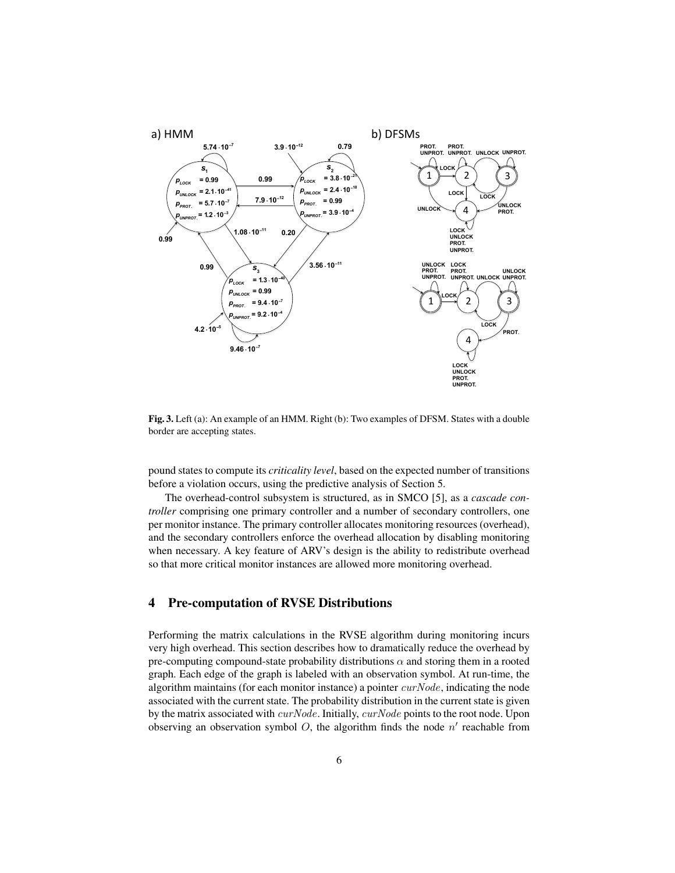

Fig. 3. Left (a): An example of an HMM. Right (b): Two examples of DFSM. States with a double border are accepting states.

pound states to compute its *criticality level*, based on the expected number of transitions before a violation occurs, using the predictive analysis of Section 5.

The overhead-control subsystem is structured, as in SMCO [5], as a *cascade controller* comprising one primary controller and a number of secondary controllers, one per monitor instance. The primary controller allocates monitoring resources (overhead), and the secondary controllers enforce the overhead allocation by disabling monitoring when necessary. A key feature of ARV's design is the ability to redistribute overhead so that more critical monitor instances are allowed more monitoring overhead.

# 4 Pre-computation of RVSE Distributions

Performing the matrix calculations in the RVSE algorithm during monitoring incurs very high overhead. This section describes how to dramatically reduce the overhead by pre-computing compound-state probability distributions  $\alpha$  and storing them in a rooted graph. Each edge of the graph is labeled with an observation symbol. At run-time, the algorithm maintains (for each monitor instance) a pointer  $curNode$ , indicating the node associated with the current state. The probability distribution in the current state is given by the matrix associated with  $curNode$ . Initially,  $curNode$  points to the root node. Upon observing an observation symbol  $O$ , the algorithm finds the node  $n'$  reachable from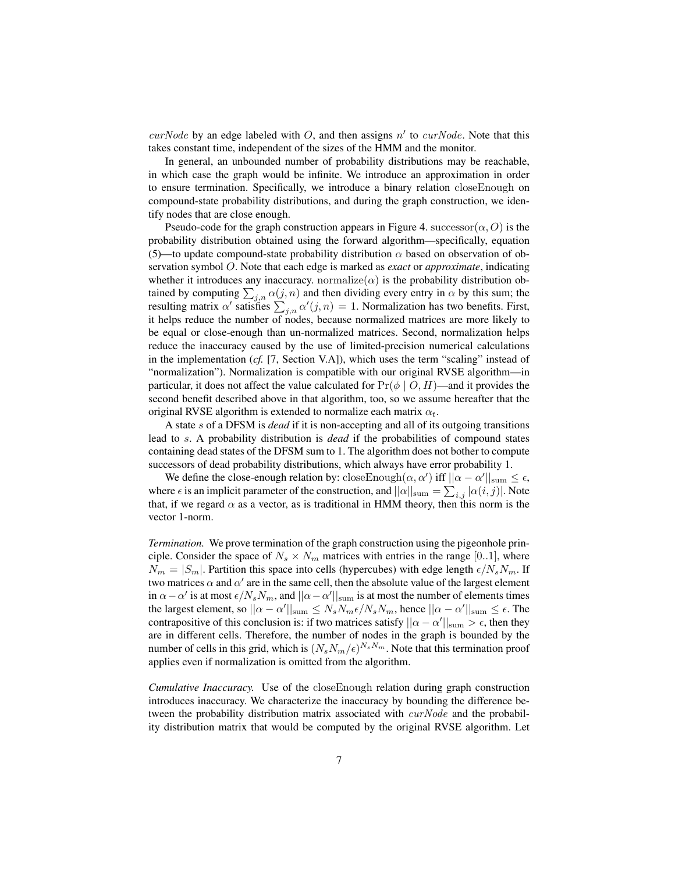curNode by an edge labeled with  $O$ , and then assigns  $n'$  to curNode. Note that this takes constant time, independent of the sizes of the HMM and the monitor.

In general, an unbounded number of probability distributions may be reachable, in which case the graph would be infinite. We introduce an approximation in order to ensure termination. Specifically, we introduce a binary relation closeEnough on compound-state probability distributions, and during the graph construction, we identify nodes that are close enough.

Pseudo-code for the graph construction appears in Figure 4. successor( $\alpha$ , O) is the probability distribution obtained using the forward algorithm—specifically, equation (5)—to update compound-state probability distribution  $\alpha$  based on observation of observation symbol O. Note that each edge is marked as *exact* or *approximate*, indicating whether it introduces any inaccuracy. normalize( $\alpha$ ) is the probability distribution obtained by computing  $\sum_{j,n} \alpha(j, n)$  and then dividing every entry in  $\alpha$  by this sum; the resulting matrix  $\alpha'$  satisfies  $\sum_{j,n} \alpha'(j,n) = 1$ . Normalization has two benefits. First, it helps reduce the number of nodes, because normalized matrices are more likely to be equal or close-enough than un-normalized matrices. Second, normalization helps reduce the inaccuracy caused by the use of limited-precision numerical calculations in the implementation (*cf.* [7, Section V.A]), which uses the term "scaling" instead of "normalization"). Normalization is compatible with our original RVSE algorithm—in particular, it does not affect the value calculated for  $Pr(\phi \mid O, H)$ —and it provides the second benefit described above in that algorithm, too, so we assume hereafter that the original RVSE algorithm is extended to normalize each matrix  $\alpha_t$ .

A state s of a DFSM is *dead* if it is non-accepting and all of its outgoing transitions lead to s. A probability distribution is *dead* if the probabilities of compound states containing dead states of the DFSM sum to 1. The algorithm does not bother to compute successors of dead probability distributions, which always have error probability 1.

We define the close-enough relation by: close Enough $(\alpha, \alpha')$  iff  $||\alpha - \alpha'||_{\text{sum}} \leq \epsilon$ , where  $\epsilon$  is an implicit parameter of the construction, and  $||\alpha||_{\text{sum}} = \sum_{i,j} |\alpha(i,j)|$ . Note that, if we regard  $\alpha$  as a vector, as is traditional in HMM theory, then this norm is the vector 1-norm.

*Termination.* We prove termination of the graph construction using the pigeonhole principle. Consider the space of  $N_s \times N_m$  matrices with entries in the range [0..1], where  $N_m = |S_m|$ . Partition this space into cells (hypercubes) with edge length  $\epsilon/N_sN_m$ . If two matrices  $\alpha$  and  $\alpha'$  are in the same cell, then the absolute value of the largest element in  $\alpha-\alpha'$  is at most  $\epsilon/N_sN_m$ , and  $||\alpha-\alpha'||_{\text{sum}}$  is at most the number of elements times the largest element, so  $||\alpha - \alpha'||_{\text{sum}} \leq N_s N_m \epsilon / N_s N_m$ , hence  $||\alpha - \alpha'||_{\text{sum}} \leq \epsilon$ . The contrapositive of this conclusion is: if two matrices satisfy  $||\alpha - \alpha'||_{\text{sum}} > \epsilon$ , then they are in different cells. Therefore, the number of nodes in the graph is bounded by the number of cells in this grid, which is  $(N_s N_m/\epsilon)^{N_s N_m}$ . Note that this termination proof applies even if normalization is omitted from the algorithm.

*Cumulative Inaccuracy.* Use of the closeEnough relation during graph construction introduces inaccuracy. We characterize the inaccuracy by bounding the difference between the probability distribution matrix associated with *curNode* and the probability distribution matrix that would be computed by the original RVSE algorithm. Let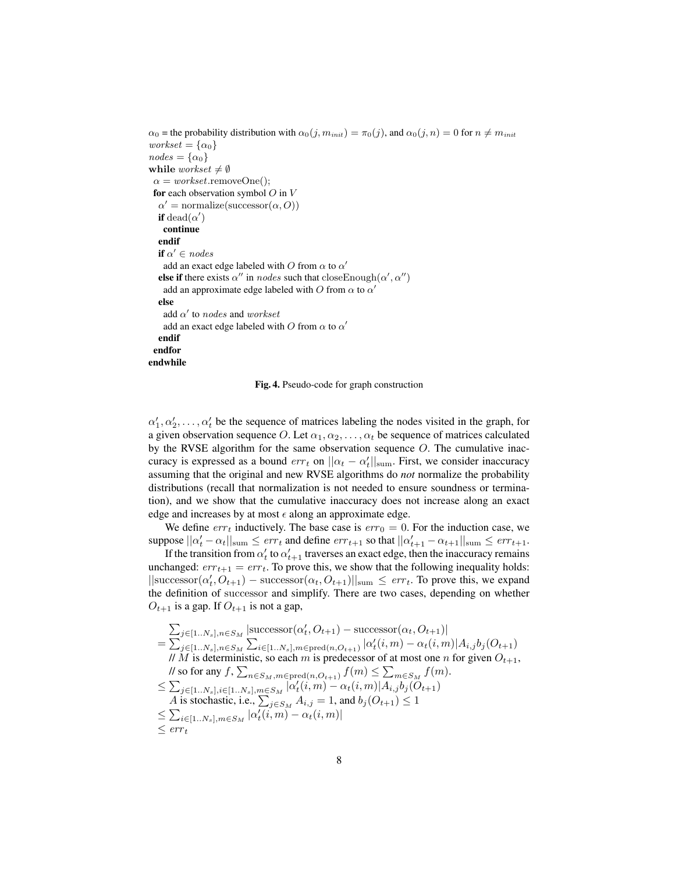```
\alpha_0 = the probability distribution with \alpha_0(j, m_{init}) = \pi_0(j), and \alpha_0(j, n) = 0 for n \neq m_{init}workset = {\alpha_0}nodes = {\alpha_0}while workset \neq \emptyset\alpha = \textit{workset}.\text{removeOne}();for each observation symbol O in V\alpha' = normalize(successor(\alpha, O))
   if dead(\alpha')
    continue
  endif
   if \alpha' \in nodesadd an exact edge labeled with O from \alpha to \alpha'else if there exists \alpha'' in nodes such that close Enough(\alpha', \alpha'')add an approximate edge labeled with O from \alpha to \alpha'else
    add \alpha' to nodes and workset
    add an exact edge labeled with O from \alpha to \alpha'endif
 endfor
endwhile
```
Fig. 4. Pseudo-code for graph construction

 $\alpha'_1, \alpha'_2, \dots, \alpha'_t$  be the sequence of matrices labeling the nodes visited in the graph, for a given observation sequence O. Let  $\alpha_1, \alpha_2, \ldots, \alpha_t$  be sequence of matrices calculated by the RVSE algorithm for the same observation sequence O. The cumulative inaccuracy is expressed as a bound  $err_t$  on  $||\alpha_t - \alpha'_t||_{\text{sum}}$ . First, we consider inaccuracy assuming that the original and new RVSE algorithms do *not* normalize the probability distributions (recall that normalization is not needed to ensure soundness or termination), and we show that the cumulative inaccuracy does not increase along an exact edge and increases by at most  $\epsilon$  along an approximate edge.

We define  $err_t$  inductively. The base case is  $err_0 = 0$ . For the induction case, we suppose  $||\alpha'_t - \alpha_t||_{\text{sum}} \leq err_t$  and define  $err_{t+1}$  so that  $||\alpha'_{t+1} - \alpha_{t+1}||_{\text{sum}} \leq err_{t+1}$ .

If the transition from  $\alpha_t'$  to  $\alpha_{t+1}'$  traverses an exact edge, then the inaccuracy remains unchanged:  $err_{t+1} = err_t$ . To prove this, we show that the following inequality holds:  $||\text{successor}(\alpha_t', O_{t+1}) - \text{successor}(\alpha_t, O_{t+1})||_{\text{sum}} \leq err_t$ . To prove this, we expand the definition of successor and simplify. There are two cases, depending on whether  $O_{t+1}$  is a gap. If  $O_{t+1}$  is not a gap,

$$
\begin{aligned} & \sum_{j \in [1..N_s], n \in S_M} \left| \textrm{successor}(\alpha_t', O_{t+1}) - \textrm{successor}(\alpha_t, O_{t+1}) \right| \\ & = \sum_{j \in [1..N_s], n \in S_M} \sum_{i \in [1..N_s], m \in \textrm{pred}(n, O_{t+1})} |\alpha_t'(i,m) - \alpha_t(i,m)| A_{i,j} b_j(O_{t+1}) \\ & \textrm{ // } M \textrm{ is deterministic, so each } m \textrm{ is predecessor of at most one } n \textrm{ for given } O_{t+1}, \\ & \textrm{ // so for any } f, \sum_{n \in S_M, m \in \textrm{pred}(n, O_{t+1})} f(m) \leq \sum_{m \in S_M} f(m). \\ & \leq \sum_{j \in [1..N_s], i \in [1..N_s], m \in S_M} |\alpha_t'(i,m) - \alpha_t(i,m)| A_{i,j} b_j(O_{t+1}) \\ & \textrm{ A is stochastic, i.e., } \sum_{j \in S_M} A_{i,j} = 1, \textrm{ and } b_j(O_{t+1}) \leq 1 \\ & \leq \sum_{i \in [1..N_s], m \in S_M} |\alpha_t'(i,m) - \alpha_t(i,m)| \\ & \leq err_t \end{aligned}
$$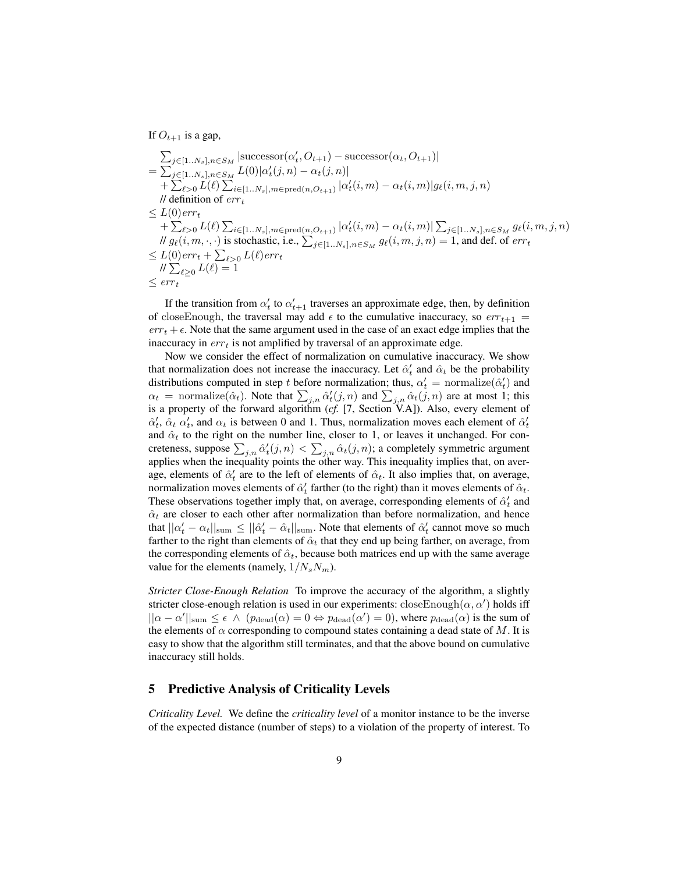If  $O_{t+1}$  is a gap,

$$
\begin{aligned} & \sum_{j \in [1..N_s], n \in S_M} |\textrm{successor}(\alpha_t', O_{t+1}) - \textrm{successor}(\alpha_t, O_{t+1})| \\ & = \sum_{j \in [1..N_s], n \in S_M} L(0) |\alpha_t'(j,n) - \alpha_t(j,n)| \\ & + \sum_{\ell > 0} L(\ell) \sum_{i \in [1..N_s], m \in \textrm{pred}(n, O_{t+1})} |\alpha_t'(i,m) - \alpha_t(i,m)| g_\ell(i,m,j,n) \\ & \quad \textrm{ // definition of } err_t \\ & \le L(0) err_t \\ & + \sum_{\ell > 0} L(\ell) \sum_{i \in [1..N_s], m \in \textrm{pred}(n, O_{t+1})} |\alpha_t'(i,m) - \alpha_t(i,m)| \sum_{j \in [1..N_s], n \in S_M} g_\ell(i,m,j,n) \\ & \quad \textrm{ // } g_\ell(i,m,\cdot,\cdot) \textrm{ is stochastic, i.e., } \sum_{j \in [1..N_s], n \in S_M} g_\ell(i,m,j,n) = 1 \textrm{, and def. of } err_t \\ & \le L(0) err_t + \sum_{\ell > 0} L(\ell) err_t \\ & \quad \textrm{ // } \sum_{\ell \ge 0} L(\ell) = 1 \\ & \le err_t \end{aligned}
$$

If the transition from  $\alpha'_t$  to  $\alpha'_{t+1}$  traverses an approximate edge, then, by definition of closeEnough, the traversal may add  $\epsilon$  to the cumulative inaccuracy, so  $err_{t+1}$  =  $err_t + \epsilon$ . Note that the same argument used in the case of an exact edge implies that the inaccuracy in  $err_t$  is not amplified by traversal of an approximate edge.

Now we consider the effect of normalization on cumulative inaccuracy. We show that normalization does not increase the inaccuracy. Let  $\hat{\alpha}'_t$  and  $\hat{\alpha}_t$  be the probability distributions computed in step t before normalization; thus,  $\alpha'_t = \text{normalize}(\hat{\alpha}'_t)$  and  $\alpha_t$  = normalize( $\hat{\alpha}_t$ ). Note that  $\sum_{j,n} \hat{\alpha}'_t(j,n)$  and  $\sum_{j,n} \hat{\alpha}_t(j,n)$  are at most 1; this is a property of the forward algorithm (*cf.* [7, Section V.A]). Also, every element of  $\hat{\alpha}'_t$ ,  $\hat{\alpha}_t$   $\alpha'_t$ , and  $\alpha_t$  is between 0 and 1. Thus, normalization moves each element of  $\hat{\alpha}'_t$ and  $\hat{\alpha}_t$  to the right on the number line, closer to 1, or leaves it unchanged. For concreteness, suppose  $\sum_{j,n} \hat{\alpha}'_t(j,n) < \sum_{j,n} \hat{\alpha}_t(j,n)$ ; a completely symmetric argument applies when the inequality points the other way. This inequality implies that, on average, elements of  $\hat{\alpha}'_t$  are to the left of elements of  $\hat{\alpha}_t$ . It also implies that, on average, normalization moves elements of  $\hat{\alpha}'_t$  farther (to the right) than it moves elements of  $\hat{\alpha}_t$ . These observations together imply that, on average, corresponding elements of  $\hat{\alpha}'_t$  and  $\hat{\alpha}_t$  are closer to each other after normalization than before normalization, and hence that  $||\alpha'_t - \alpha_t||_{\text{sum}} \le ||\hat{\alpha}'_t - \hat{\alpha}_t||_{\text{sum}}$ . Note that elements of  $\hat{\alpha}'_t$  cannot move so much farther to the right than elements of  $\hat{\alpha}_t$  that they end up being farther, on average, from the corresponding elements of  $\hat{\alpha}_t$ , because both matrices end up with the same average value for the elements (namely,  $1/N_sN_m$ ).

*Stricter Close-Enough Relation* To improve the accuracy of the algorithm, a slightly stricter close-enough relation is used in our experiments: close Enough $(\alpha, \alpha')$  holds iff  $||\alpha - \alpha'||_{\text{sum}} \leq \epsilon \wedge (p_{\text{dead}}(\alpha) = 0 \Leftrightarrow p_{\text{dead}}(\alpha') = 0)$ , where  $p_{\text{dead}}(\alpha)$  is the sum of the elements of  $\alpha$  corresponding to compound states containing a dead state of M. It is easy to show that the algorithm still terminates, and that the above bound on cumulative inaccuracy still holds.

### 5 Predictive Analysis of Criticality Levels

*Criticality Level.* We define the *criticality level* of a monitor instance to be the inverse of the expected distance (number of steps) to a violation of the property of interest. To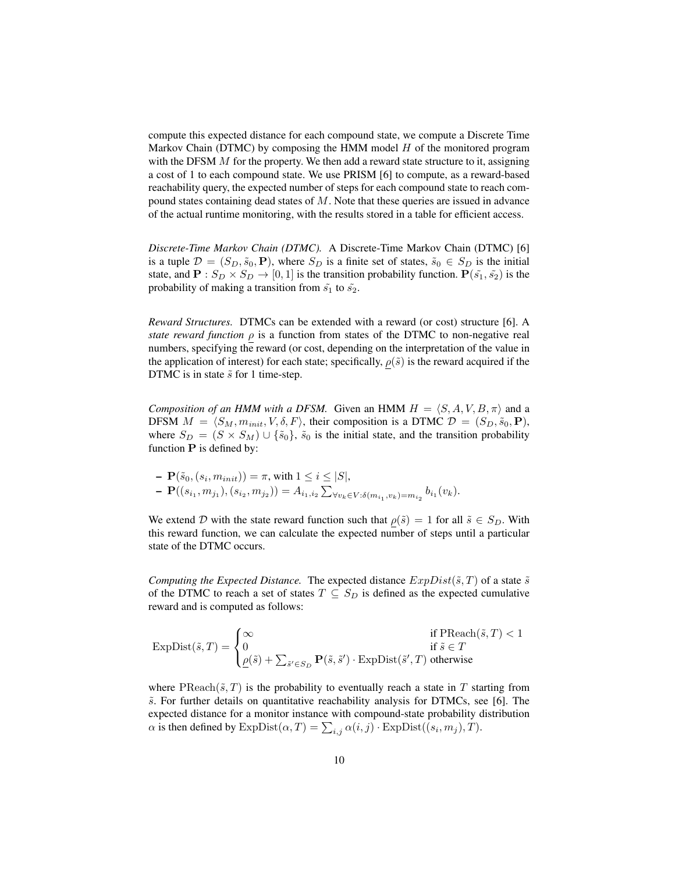compute this expected distance for each compound state, we compute a Discrete Time Markov Chain (DTMC) by composing the HMM model  $H$  of the monitored program with the DFSM  $M$  for the property. We then add a reward state structure to it, assigning a cost of 1 to each compound state. We use PRISM [6] to compute, as a reward-based reachability query, the expected number of steps for each compound state to reach compound states containing dead states of  $M$ . Note that these queries are issued in advance of the actual runtime monitoring, with the results stored in a table for efficient access.

*Discrete-Time Markov Chain (DTMC).* A Discrete-Time Markov Chain (DTMC) [6] is a tuple  $\mathcal{D} = (S_D, \tilde{s}_0, \mathbf{P})$ , where  $S_D$  is a finite set of states,  $\tilde{s}_0 \in S_D$  is the initial state, and  $P: S_D \times S_D \rightarrow [0, 1]$  is the transition probability function.  $P(\tilde{s}_1, \tilde{s}_2)$  is the probability of making a transition from  $\tilde{s_1}$  to  $\tilde{s_2}$ .

*Reward Structures.* DTMCs can be extended with a reward (or cost) structure [6]. A *state reward function*  $\rho$  is a function from states of the DTMC to non-negative real numbers, specifying the reward (or cost, depending on the interpretation of the value in the application of interest) for each state; specifically,  $\rho(\tilde{s})$  is the reward acquired if the DTMC is in state  $\tilde{s}$  for 1 time-step.

*Composition of an HMM with a DFSM.* Given an HMM  $H = \langle S, A, V, B, \pi \rangle$  and a DFSM  $M = \langle S_M, m_{init}, V, \delta, F \rangle$ , their composition is a DTMC  $\mathcal{D} = (S_D, \tilde{s}_0, \mathbf{P}),$ where  $S_D = (S \times S_M) \cup {\{\tilde{s}_0\}}$ ,  $\tilde{s}_0$  is the initial state, and the transition probability function  $P$  is defined by:

- 
$$
\mathbf{P}(\tilde{s}_0, (s_i, m_{init})) = \pi
$$
, with  $1 \le i \le |S|$ ,  
-  $\mathbf{P}((s_{i_1}, m_{j_1}), (s_{i_2}, m_{j_2})) = A_{i_1, i_2} \sum_{\forall v_k \in V : \delta(m_{i_1}, v_k) = m_{i_2}} b_{i_1}(v_k).$ 

We extend D with the state reward function such that  $\rho(\tilde{s}) = 1$  for all  $\tilde{s} \in S_D$ . With this reward function, we can calculate the expected number of steps until a particular state of the DTMC occurs.

*Computing the Expected Distance.* The expected distance  $ExpDist(\tilde{s}, T)$  of a state  $\tilde{s}$ of the DTMC to reach a set of states  $T \subseteq S_D$  is defined as the expected cumulative reward and is computed as follows:

$$
\text{ExpDist}(\tilde{s}, T) = \begin{cases} \infty & \text{if } \text{PReach}(\tilde{s}, T) < 1\\ 0 & \text{if } \tilde{s} \in T\\ \underline{\rho}(\tilde{s}) + \sum_{\tilde{s}' \in S_D} \mathbf{P}(\tilde{s}, \tilde{s}') \cdot \text{ExpDist}(\tilde{s}', T) \text{ otherwise} \end{cases}
$$

where PReach( $\tilde{s}$ , T) is the probability to eventually reach a state in T starting from  $\tilde{s}$ . For further details on quantitative reachability analysis for DTMCs, see [6]. The expected distance for a monitor instance with compound-state probability distribution  $\alpha$  is then defined by  $\text{ExpDist}(\alpha, T) = \sum_{i,j} \alpha(i,j) \cdot \text{ExpDist}((s_i, m_j), T)$ .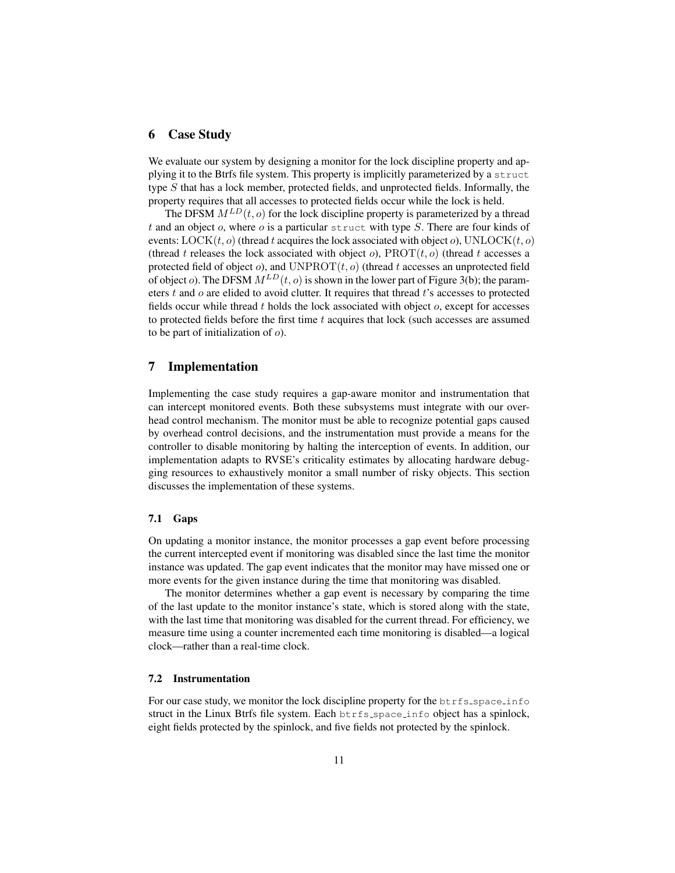### 6 Case Study

We evaluate our system by designing a monitor for the lock discipline property and applying it to the Btrfs file system. This property is implicitly parameterized by a struct type S that has a lock member, protected fields, and unprotected fields. Informally, the property requires that all accesses to protected fields occur while the lock is held.

The DFSM  $M^{LD}(t, o)$  for the lock discipline property is parameterized by a thread t and an object  $o$ , where  $o$  is a particular struct with type  $S$ . There are four kinds of events:  $\text{LOCK}(t, o)$  (thread t acquires the lock associated with object o), UNLOCK $(t, o)$ (thread t releases the lock associated with object  $o$ ),  $PROT(t, o)$  (thread t accesses a protected field of object  $o$ ), and UNPROT $(t, o)$  (thread t accesses an unprotected field of object o). The DFSM  $M^{LD}(t, o)$  is shown in the lower part of Figure 3(b); the parameters  $t$  and  $\varrho$  are elided to avoid clutter. It requires that thread  $t$ 's accesses to protected fields occur while thread  $t$  holds the lock associated with object  $o$ , except for accesses to protected fields before the first time  $t$  acquires that lock (such accesses are assumed to be part of initialization of  $o$ ).

# 7 Implementation

Implementing the case study requires a gap-aware monitor and instrumentation that can intercept monitored events. Both these subsystems must integrate with our overhead control mechanism. The monitor must be able to recognize potential gaps caused by overhead control decisions, and the instrumentation must provide a means for the controller to disable monitoring by halting the interception of events. In addition, our implementation adapts to RVSE's criticality estimates by allocating hardware debugging resources to exhaustively monitor a small number of risky objects. This section discusses the implementation of these systems.

#### 7.1 Gaps

On updating a monitor instance, the monitor processes a gap event before processing the current intercepted event if monitoring was disabled since the last time the monitor instance was updated. The gap event indicates that the monitor may have missed one or more events for the given instance during the time that monitoring was disabled.

The monitor determines whether a gap event is necessary by comparing the time of the last update to the monitor instance's state, which is stored along with the state, with the last time that monitoring was disabled for the current thread. For efficiency, we measure time using a counter incremented each time monitoring is disabled—a logical clock—rather than a real-time clock.

#### 7.2 Instrumentation

For our case study, we monitor the lock discipline property for the  $b$ trfs space info struct in the Linux Btrfs file system. Each btrfs\_space\_info object has a spinlock, eight fields protected by the spinlock, and five fields not protected by the spinlock.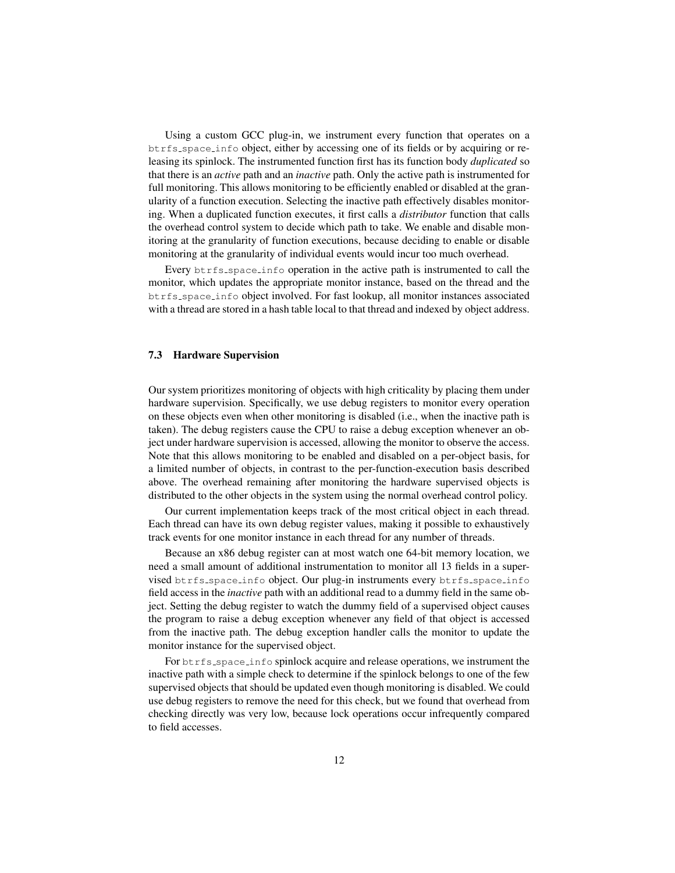Using a custom GCC plug-in, we instrument every function that operates on a btrfs space info object, either by accessing one of its fields or by acquiring or releasing its spinlock. The instrumented function first has its function body *duplicated* so that there is an *active* path and an *inactive* path. Only the active path is instrumented for full monitoring. This allows monitoring to be efficiently enabled or disabled at the granularity of a function execution. Selecting the inactive path effectively disables monitoring. When a duplicated function executes, it first calls a *distributor* function that calls the overhead control system to decide which path to take. We enable and disable monitoring at the granularity of function executions, because deciding to enable or disable monitoring at the granularity of individual events would incur too much overhead.

Every btrfs space info operation in the active path is instrumented to call the monitor, which updates the appropriate monitor instance, based on the thread and the btrfs space info object involved. For fast lookup, all monitor instances associated with a thread are stored in a hash table local to that thread and indexed by object address.

#### 7.3 Hardware Supervision

Our system prioritizes monitoring of objects with high criticality by placing them under hardware supervision. Specifically, we use debug registers to monitor every operation on these objects even when other monitoring is disabled (i.e., when the inactive path is taken). The debug registers cause the CPU to raise a debug exception whenever an object under hardware supervision is accessed, allowing the monitor to observe the access. Note that this allows monitoring to be enabled and disabled on a per-object basis, for a limited number of objects, in contrast to the per-function-execution basis described above. The overhead remaining after monitoring the hardware supervised objects is distributed to the other objects in the system using the normal overhead control policy.

Our current implementation keeps track of the most critical object in each thread. Each thread can have its own debug register values, making it possible to exhaustively track events for one monitor instance in each thread for any number of threads.

Because an x86 debug register can at most watch one 64-bit memory location, we need a small amount of additional instrumentation to monitor all 13 fields in a supervised btrfs space info object. Our plug-in instruments every btrfs space info field access in the *inactive* path with an additional read to a dummy field in the same object. Setting the debug register to watch the dummy field of a supervised object causes the program to raise a debug exception whenever any field of that object is accessed from the inactive path. The debug exception handler calls the monitor to update the monitor instance for the supervised object.

For btrfs\_space\_info spinlock acquire and release operations, we instrument the inactive path with a simple check to determine if the spinlock belongs to one of the few supervised objects that should be updated even though monitoring is disabled. We could use debug registers to remove the need for this check, but we found that overhead from checking directly was very low, because lock operations occur infrequently compared to field accesses.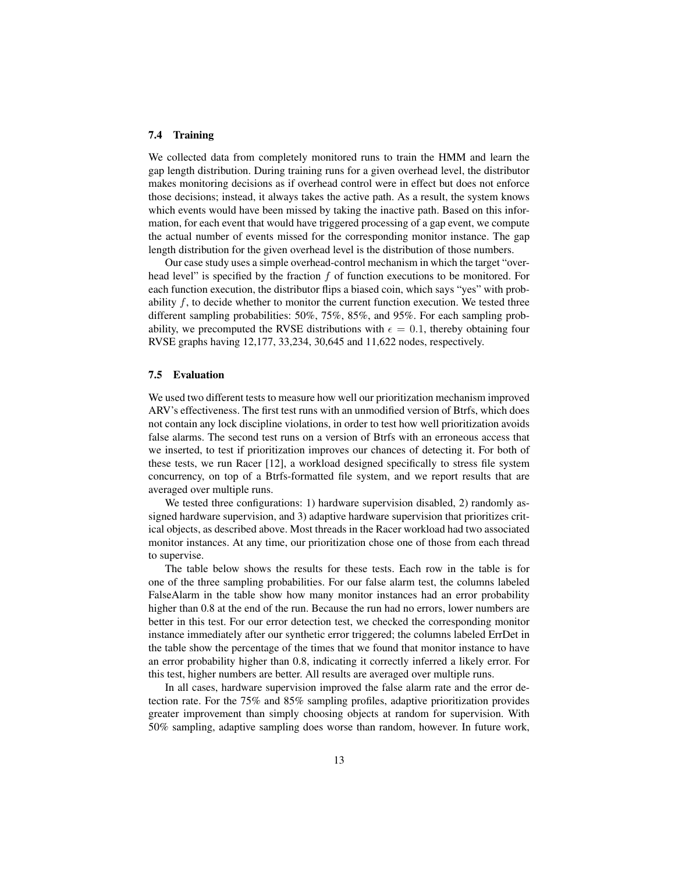#### 7.4 Training

We collected data from completely monitored runs to train the HMM and learn the gap length distribution. During training runs for a given overhead level, the distributor makes monitoring decisions as if overhead control were in effect but does not enforce those decisions; instead, it always takes the active path. As a result, the system knows which events would have been missed by taking the inactive path. Based on this information, for each event that would have triggered processing of a gap event, we compute the actual number of events missed for the corresponding monitor instance. The gap length distribution for the given overhead level is the distribution of those numbers.

Our case study uses a simple overhead-control mechanism in which the target "overhead level" is specified by the fraction  $f$  of function executions to be monitored. For each function execution, the distributor flips a biased coin, which says "yes" with probability  $f$ , to decide whether to monitor the current function execution. We tested three different sampling probabilities: 50%, 75%, 85%, and 95%. For each sampling probability, we precomputed the RVSE distributions with  $\epsilon = 0.1$ , thereby obtaining four RVSE graphs having 12,177, 33,234, 30,645 and 11,622 nodes, respectively.

#### 7.5 Evaluation

We used two different tests to measure how well our prioritization mechanism improved ARV's effectiveness. The first test runs with an unmodified version of Btrfs, which does not contain any lock discipline violations, in order to test how well prioritization avoids false alarms. The second test runs on a version of Btrfs with an erroneous access that we inserted, to test if prioritization improves our chances of detecting it. For both of these tests, we run Racer [12], a workload designed specifically to stress file system concurrency, on top of a Btrfs-formatted file system, and we report results that are averaged over multiple runs.

We tested three configurations: 1) hardware supervision disabled, 2) randomly assigned hardware supervision, and 3) adaptive hardware supervision that prioritizes critical objects, as described above. Most threads in the Racer workload had two associated monitor instances. At any time, our prioritization chose one of those from each thread to supervise.

The table below shows the results for these tests. Each row in the table is for one of the three sampling probabilities. For our false alarm test, the columns labeled FalseAlarm in the table show how many monitor instances had an error probability higher than 0.8 at the end of the run. Because the run had no errors, lower numbers are better in this test. For our error detection test, we checked the corresponding monitor instance immediately after our synthetic error triggered; the columns labeled ErrDet in the table show the percentage of the times that we found that monitor instance to have an error probability higher than 0.8, indicating it correctly inferred a likely error. For this test, higher numbers are better. All results are averaged over multiple runs.

In all cases, hardware supervision improved the false alarm rate and the error detection rate. For the 75% and 85% sampling profiles, adaptive prioritization provides greater improvement than simply choosing objects at random for supervision. With 50% sampling, adaptive sampling does worse than random, however. In future work,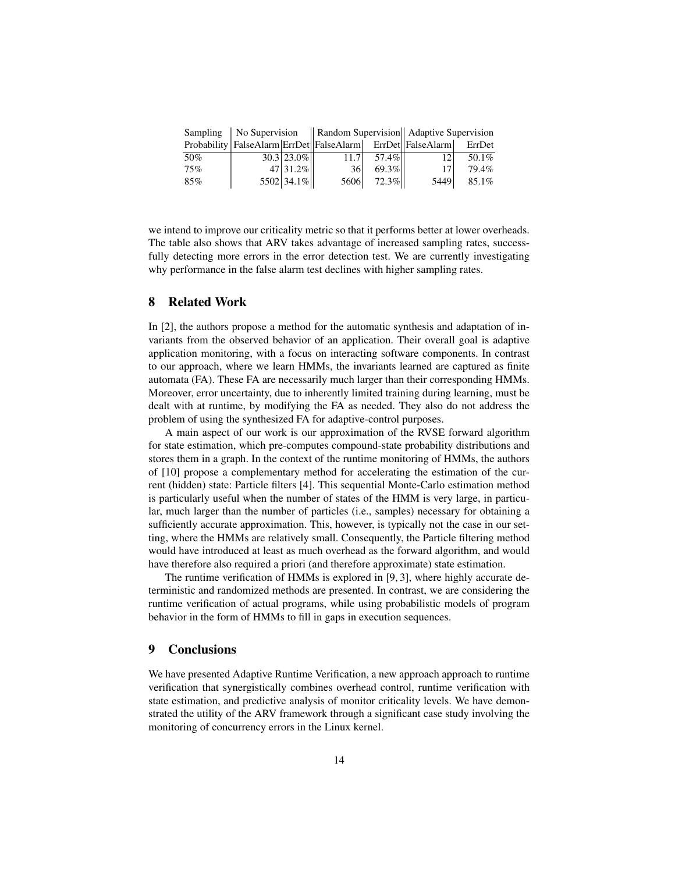|     |  |                |                                                            |          | Sampling    No Supervision    Random Supervision    Adaptive Supervision |        |
|-----|--|----------------|------------------------------------------------------------|----------|--------------------------------------------------------------------------|--------|
|     |  |                | Probability FalseAlarm ErrDet FalseAlarm ErrDet FalseAlarm |          |                                                                          | ErrDet |
| 50% |  | $30.3 23.0\% $ | 11.7                                                       | 57.4%    | 12'                                                                      | 50.1%  |
| 75% |  | $47 31.2\%$    | 361                                                        | $69.3\%$ | 17'                                                                      | 79.4%  |
| 85% |  | 5502 34.1%     | 5606                                                       | $72.3\%$ | 5449                                                                     | 85.1%  |

we intend to improve our criticality metric so that it performs better at lower overheads. The table also shows that ARV takes advantage of increased sampling rates, successfully detecting more errors in the error detection test. We are currently investigating why performance in the false alarm test declines with higher sampling rates.

# 8 Related Work

In [2], the authors propose a method for the automatic synthesis and adaptation of invariants from the observed behavior of an application. Their overall goal is adaptive application monitoring, with a focus on interacting software components. In contrast to our approach, where we learn HMMs, the invariants learned are captured as finite automata (FA). These FA are necessarily much larger than their corresponding HMMs. Moreover, error uncertainty, due to inherently limited training during learning, must be dealt with at runtime, by modifying the FA as needed. They also do not address the problem of using the synthesized FA for adaptive-control purposes.

A main aspect of our work is our approximation of the RVSE forward algorithm for state estimation, which pre-computes compound-state probability distributions and stores them in a graph. In the context of the runtime monitoring of HMMs, the authors of [10] propose a complementary method for accelerating the estimation of the current (hidden) state: Particle filters [4]. This sequential Monte-Carlo estimation method is particularly useful when the number of states of the HMM is very large, in particular, much larger than the number of particles (i.e., samples) necessary for obtaining a sufficiently accurate approximation. This, however, is typically not the case in our setting, where the HMMs are relatively small. Consequently, the Particle filtering method would have introduced at least as much overhead as the forward algorithm, and would have therefore also required a priori (and therefore approximate) state estimation.

The runtime verification of HMMs is explored in [9, 3], where highly accurate deterministic and randomized methods are presented. In contrast, we are considering the runtime verification of actual programs, while using probabilistic models of program behavior in the form of HMMs to fill in gaps in execution sequences.

### 9 Conclusions

We have presented Adaptive Runtime Verification, a new approach approach to runtime verification that synergistically combines overhead control, runtime verification with state estimation, and predictive analysis of monitor criticality levels. We have demonstrated the utility of the ARV framework through a significant case study involving the monitoring of concurrency errors in the Linux kernel.